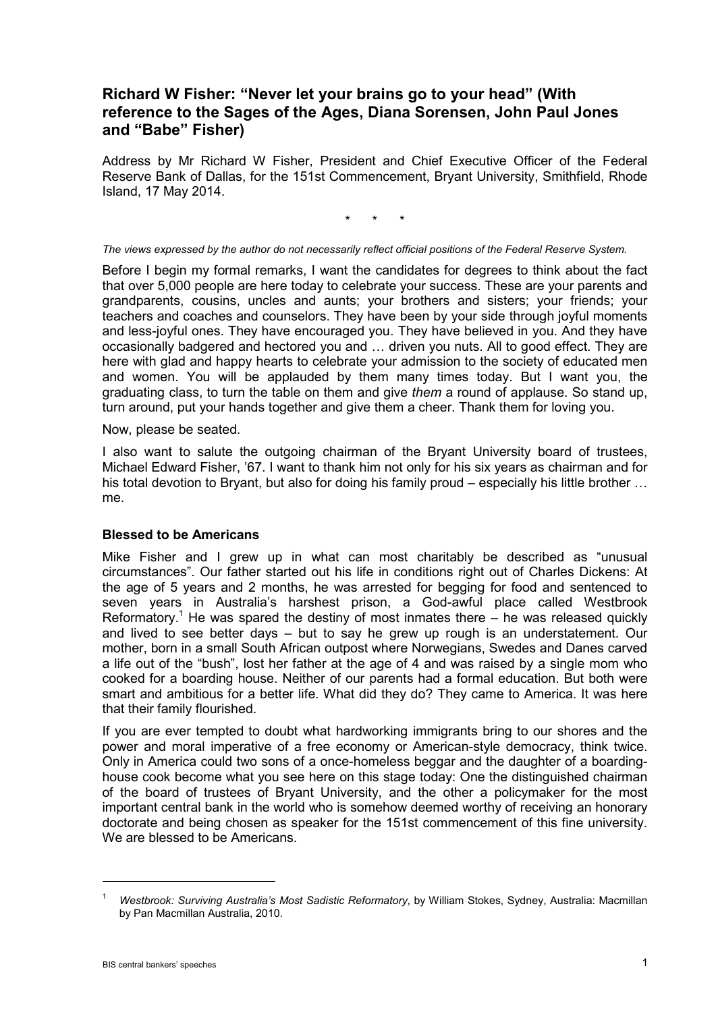# **Richard W Fisher: "Never let your brains go to your head" (With reference to the Sages of the Ages, Diana Sorensen, John Paul Jones and "Babe" Fisher)**

Address by Mr Richard W Fisher, President and Chief Executive Officer of the Federal Reserve Bank of Dallas, for the 151st Commencement, Bryant University, Smithfield, Rhode Island, 17 May 2014.

\* \* \*

*The views expressed by the author do not necessarily reflect official positions of the Federal Reserve System.*

Before I begin my formal remarks, I want the candidates for degrees to think about the fact that over 5,000 people are here today to celebrate your success. These are your parents and grandparents, cousins, uncles and aunts; your brothers and sisters; your friends; your teachers and coaches and counselors. They have been by your side through joyful moments and less-joyful ones. They have encouraged you. They have believed in you. And they have occasionally badgered and hectored you and … driven you nuts. All to good effect. They are here with glad and happy hearts to celebrate your admission to the society of educated men and women. You will be applauded by them many times today. But I want you, the graduating class, to turn the table on them and give *them* a round of applause. So stand up, turn around, put your hands together and give them a cheer. Thank them for loving you.

Now, please be seated.

I also want to salute the outgoing chairman of the Bryant University board of trustees, Michael Edward Fisher, '67. I want to thank him not only for his six years as chairman and for his total devotion to Bryant, but also for doing his family proud – especially his little brother … me.

#### **Blessed to be Americans**

Mike Fisher and I grew up in what can most charitably be described as "unusual circumstances". Our father started out his life in conditions right out of Charles Dickens: At the age of 5 years and 2 months, he was arrested for begging for food and sentenced to seven years in Australia's harshest prison, a God-awful place called Westbrook Reformatory.<sup>1</sup> He was spared the destiny of most inmates there  $-$  he was released quickly and lived to see better days – but to say he grew up rough is an understatement. Our mother, born in a small South African outpost where Norwegians, Swedes and Danes carved a life out of the "bush", lost her father at the age of 4 and was raised by a single mom who cooked for a boarding house. Neither of our parents had a formal education. But both were smart and ambitious for a better life. What did they do? They came to America. It was here that their family flourished.

If you are ever tempted to doubt what hardworking immigrants bring to our shores and the power and moral imperative of a free economy or American-style democracy, think twice. Only in America could two sons of a once-homeless beggar and the daughter of a boardinghouse cook become what you see here on this stage today: One the distinguished chairman of the board of trustees of Bryant University, and the other a policymaker for the most important central bank in the world who is somehow deemed worthy of receiving an honorary doctorate and being chosen as speaker for the 151st commencement of this fine university. We are blessed to be Americans.

-

<sup>1</sup> *Westbrook: Surviving Australia's Most Sadistic Reformatory*, by William Stokes, Sydney, Australia: Macmillan by Pan Macmillan Australia, 2010.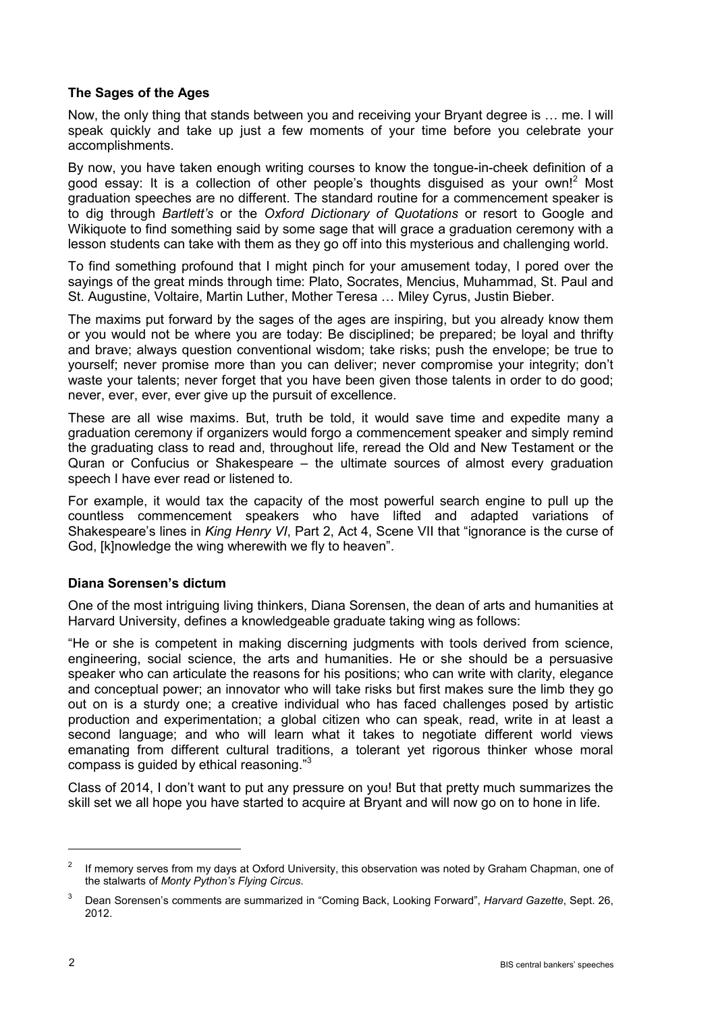## **The Sages of the Ages**

Now, the only thing that stands between you and receiving your Bryant degree is … me. I will speak quickly and take up just a few moments of your time before you celebrate your accomplishments.

By now, you have taken enough writing courses to know the tongue-in-cheek definition of a good essay: It is a collection of other people's thoughts disguised as your own!<sup>2</sup> Most graduation speeches are no different. The standard routine for a commencement speaker is to dig through *Bartlett's* or the *Oxford Dictionary of Quotations* or resort to Google and Wikiquote to find something said by some sage that will grace a graduation ceremony with a lesson students can take with them as they go off into this mysterious and challenging world.

To find something profound that I might pinch for your amusement today, I pored over the sayings of the great minds through time: Plato, Socrates, Mencius, Muhammad, St. Paul and St. Augustine, Voltaire, Martin Luther, Mother Teresa … Miley Cyrus, Justin Bieber.

The maxims put forward by the sages of the ages are inspiring, but you already know them or you would not be where you are today: Be disciplined; be prepared; be loyal and thrifty and brave; always question conventional wisdom; take risks; push the envelope; be true to yourself; never promise more than you can deliver; never compromise your integrity; don't waste your talents; never forget that you have been given those talents in order to do good; never, ever, ever, ever give up the pursuit of excellence.

These are all wise maxims. But, truth be told, it would save time and expedite many a graduation ceremony if organizers would forgo a commencement speaker and simply remind the graduating class to read and, throughout life, reread the Old and New Testament or the Quran or Confucius or Shakespeare – the ultimate sources of almost every graduation speech I have ever read or listened to.

For example, it would tax the capacity of the most powerful search engine to pull up the countless commencement speakers who have lifted and adapted variations of Shakespeare's lines in *King Henry VI*, Part 2, Act 4, Scene VII that "ignorance is the curse of God, [k]nowledge the wing wherewith we fly to heaven".

## **Diana Sorensen's dictum**

One of the most intriguing living thinkers, Diana Sorensen, the dean of arts and humanities at Harvard University, defines a knowledgeable graduate taking wing as follows:

"He or she is competent in making discerning judgments with tools derived from science, engineering, social science, the arts and humanities. He or she should be a persuasive speaker who can articulate the reasons for his positions; who can write with clarity, elegance and conceptual power; an innovator who will take risks but first makes sure the limb they go out on is a sturdy one; a creative individual who has faced challenges posed by artistic production and experimentation; a global citizen who can speak, read, write in at least a second language; and who will learn what it takes to negotiate different world views emanating from different cultural traditions, a tolerant yet rigorous thinker whose moral compass is guided by ethical reasoning."3

Class of 2014, I don't want to put any pressure on you! But that pretty much summarizes the skill set we all hope you have started to acquire at Bryant and will now go on to hone in life.

-

<sup>&</sup>lt;sup>2</sup> If memory serves from my days at Oxford University, this observation was noted by Graham Chapman, one of the stalwarts of *Monty Python's Flying Circus*.

<sup>3</sup> Dean Sorensen's comments are summarized in "Coming Back, Looking Forward", *Harvard Gazette*, Sept. 26, 2012.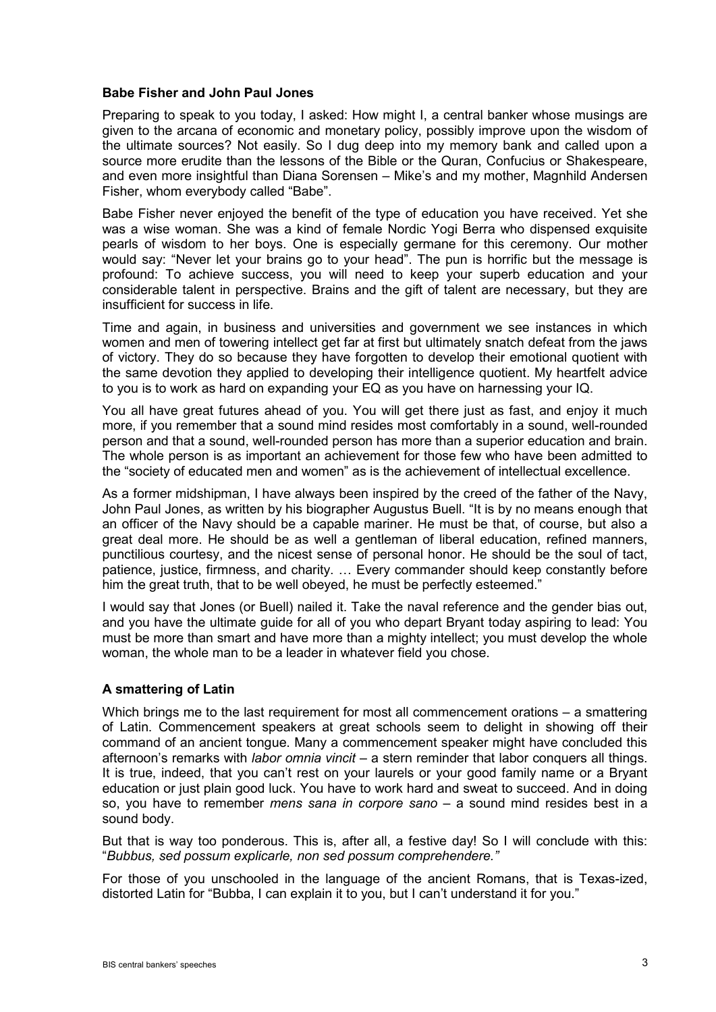### **Babe Fisher and John Paul Jones**

Preparing to speak to you today, I asked: How might I, a central banker whose musings are given to the arcana of economic and monetary policy, possibly improve upon the wisdom of the ultimate sources? Not easily. So I dug deep into my memory bank and called upon a source more erudite than the lessons of the Bible or the Quran, Confucius or Shakespeare, and even more insightful than Diana Sorensen – Mike's and my mother, Magnhild Andersen Fisher, whom everybody called "Babe".

Babe Fisher never enjoyed the benefit of the type of education you have received. Yet she was a wise woman. She was a kind of female Nordic Yogi Berra who dispensed exquisite pearls of wisdom to her boys. One is especially germane for this ceremony. Our mother would say: "Never let your brains go to your head". The pun is horrific but the message is profound: To achieve success, you will need to keep your superb education and your considerable talent in perspective. Brains and the gift of talent are necessary, but they are insufficient for success in life.

Time and again, in business and universities and government we see instances in which women and men of towering intellect get far at first but ultimately snatch defeat from the jaws of victory. They do so because they have forgotten to develop their emotional quotient with the same devotion they applied to developing their intelligence quotient. My heartfelt advice to you is to work as hard on expanding your EQ as you have on harnessing your IQ.

You all have great futures ahead of you. You will get there just as fast, and enjoy it much more, if you remember that a sound mind resides most comfortably in a sound, well-rounded person and that a sound, well-rounded person has more than a superior education and brain. The whole person is as important an achievement for those few who have been admitted to the "society of educated men and women" as is the achievement of intellectual excellence.

As a former midshipman, I have always been inspired by the creed of the father of the Navy, John Paul Jones, as written by his biographer Augustus Buell. "It is by no means enough that an officer of the Navy should be a capable mariner. He must be that, of course, but also a great deal more. He should be as well a gentleman of liberal education, refined manners, punctilious courtesy, and the nicest sense of personal honor. He should be the soul of tact, patience, justice, firmness, and charity. … Every commander should keep constantly before him the great truth, that to be well obeyed, he must be perfectly esteemed."

I would say that Jones (or Buell) nailed it. Take the naval reference and the gender bias out, and you have the ultimate guide for all of you who depart Bryant today aspiring to lead: You must be more than smart and have more than a mighty intellect; you must develop the whole woman, the whole man to be a leader in whatever field you chose.

## **A smattering of Latin**

Which brings me to the last requirement for most all commencement orations – a smattering of Latin. Commencement speakers at great schools seem to delight in showing off their command of an ancient tongue. Many a commencement speaker might have concluded this afternoon's remarks with *labor omnia vincit* – a stern reminder that labor conquers all things. It is true, indeed, that you can't rest on your laurels or your good family name or a Bryant education or just plain good luck. You have to work hard and sweat to succeed. And in doing so, you have to remember *mens sana in corpore sano* – a sound mind resides best in a sound body.

But that is way too ponderous. This is, after all, a festive day! So I will conclude with this: "*Bubbus, sed possum explicarle, non sed possum comprehendere."*

For those of you unschooled in the language of the ancient Romans, that is Texas-ized, distorted Latin for "Bubba, I can explain it to you, but I can't understand it for you."